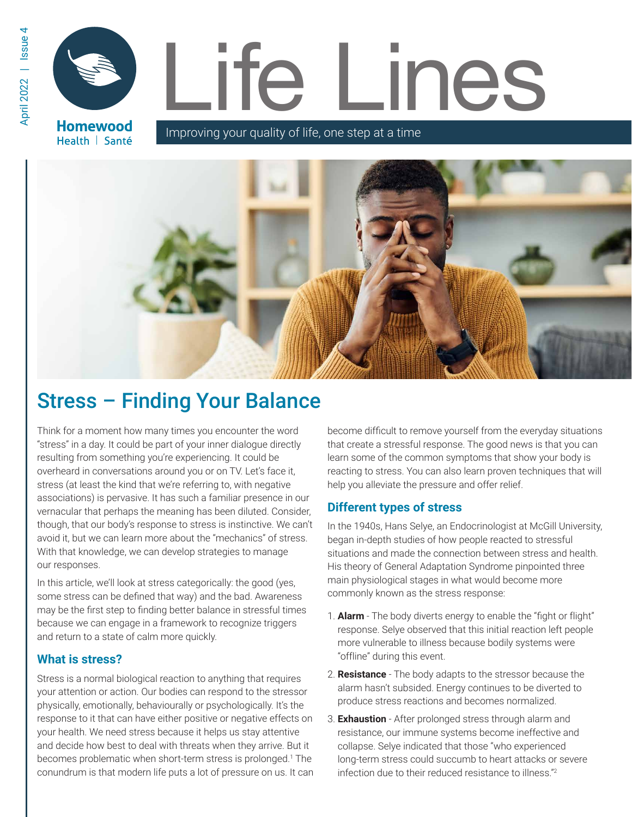**Homewood** Health | Santé

# Life Lines

Improving your quality of life, one step at a time



# Stress – Finding Your Balance

Think for a moment how many times you encounter the word "stress" in a day. It could be part of your inner dialogue directly resulting from something you're experiencing. It could be overheard in conversations around you or on TV. Let's face it, stress (at least the kind that we're referring to, with negative associations) is pervasive. It has such a familiar presence in our vernacular that perhaps the meaning has been diluted. Consider, though, that our body's response to stress is instinctive. We can't avoid it, but we can learn more about the "mechanics" of stress. With that knowledge, we can develop strategies to manage our responses.

In this article, we'll look at stress categorically: the good (yes, some stress can be defined that way) and the bad. Awareness may be the first step to finding better balance in stressful times because we can engage in a framework to recognize triggers and return to a state of calm more quickly.

## **What is stress?**

Stress is a normal biological reaction to anything that requires your attention or action. Our bodies can respond to the stressor physically, emotionally, behaviourally or psychologically. It's the response to it that can have either positive or negative effects on your health. We need stress because it helps us stay attentive and decide how best to deal with threats when they arrive. But it becomes problematic when short-term stress is prolonged.<sup>1</sup> The conundrum is that modern life puts a lot of pressure on us. It can

become difficult to remove yourself from the everyday situations that create a stressful response. The good news is that you can learn some of the common symptoms that show your body is reacting to stress. You can also learn proven techniques that will help you alleviate the pressure and offer relief.

# **Different types of stress**

In the 1940s, Hans Selye, an Endocrinologist at McGill University, began in-depth studies of how people reacted to stressful situations and made the connection between stress and health. His theory of General Adaptation Syndrome pinpointed three main physiological stages in what would become more commonly known as the stress response:

- 1. **Alarm** The body diverts energy to enable the "fight or flight" response. Selye observed that this initial reaction left people more vulnerable to illness because bodily systems were "offline" during this event.
- 2. **Resistance**  The body adapts to the stressor because the alarm hasn't subsided. Energy continues to be diverted to produce stress reactions and becomes normalized.
- 3. **Exhaustion** After prolonged stress through alarm and resistance, our immune systems become ineffective and collapse. Selye indicated that those "who experienced long-term stress could succumb to heart attacks or severe infection due to their reduced resistance to illness."2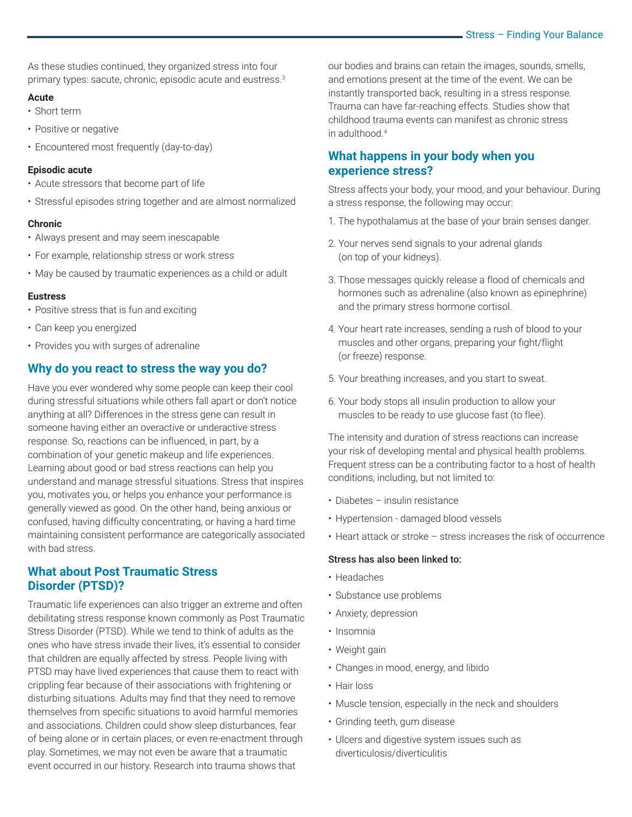As these studies continued, they organized stress into four primary types: sacute, chronic, episodic acute and eustress.3

#### **Acute**

- Short term
- Positive or negative
- Encountered most frequently (day-to-day)

#### **Episodic acute**

- Acute stressors that become part of life
- Stressful episodes string together and are almost normalized

#### **Chronic**

- Always present and may seem inescapable
- For example, relationship stress or work stress
- May be caused by traumatic experiences as a child or adult

#### **Eustress**

- Positive stress that is fun and exciting
- Can keep you energized
- Provides you with surges of adrenaline

#### **Why do you react to stress the way you do?**

Have you ever wondered why some people can keep their cool during stressful situations while others fall apart or don't notice anything at all? Differences in the stress gene can result in someone having either an overactive or underactive stress response. So, reactions can be influenced, in part, by a combination of your genetic makeup and life experiences. Learning about good or bad stress reactions can help you understand and manage stressful situations. Stress that inspires you, motivates you, or helps you enhance your performance is generally viewed as good. On the other hand, being anxious or confused, having difficulty concentrating, or having a hard time maintaining consistent performance are categorically associated with bad stress.

#### **What about Post Traumatic Stress Disorder (PTSD)?**

Traumatic life experiences can also trigger an extreme and often debilitating stress response known commonly as Post Traumatic Stress Disorder (PTSD). While we tend to think of adults as the ones who have stress invade their lives, it's essential to consider that children are equally affected by stress. People living with PTSD may have lived experiences that cause them to react with crippling fear because of their associations with frightening or disturbing situations. Adults may find that they need to remove themselves from specific situations to avoid harmful memories and associations. Children could show sleep disturbances, fear of being alone or in certain places, or even re-enactment through play. Sometimes, we may not even be aware that a traumatic event occurred in our history. Research into trauma shows that

our bodies and brains can retain the images, sounds, smells, and emotions present at the time of the event. We can be instantly transported back, resulting in a stress response. Trauma can have far-reaching effects. Studies show that childhood trauma events can manifest as chronic stress in adulthood.4

#### **What happens in your body when you experience stress?**

Stress affects your body, your mood, and your behaviour. During a stress response, the following may occur:

- 1. The hypothalamus at the base of your brain senses danger.
- 2. Your nerves send signals to your adrenal glands (on top of your kidneys).
- 3. Those messages quickly release a flood of chemicals and hormones such as adrenaline (also known as epinephrine) and the primary stress hormone cortisol.
- 4. Your heart rate increases, sending a rush of blood to your muscles and other organs, preparing your fight/flight (or freeze) response.
- 5. Your breathing increases, and you start to sweat.
- 6. Your body stops all insulin production to allow your muscles to be ready to use glucose fast (to flee).

The intensity and duration of stress reactions can increase your risk of developing mental and physical health problems. Frequent stress can be a contributing factor to a host of health conditions, including, but not limited to:

- Diabetes insulin resistance
- Hypertension damaged blood vessels
- Heart attack or stroke stress increases the risk of occurrence

#### Stress has also been linked to:

- Headaches
- Substance use problems
- Anxiety, depression
- Insomnia
- Weight gain
- Changes in mood, energy, and libido
- Hair loss
- Muscle tension, especially in the neck and shoulders
- Grinding teeth, gum disease
- Ulcers and digestive system issues such as diverticulosis/diverticulitis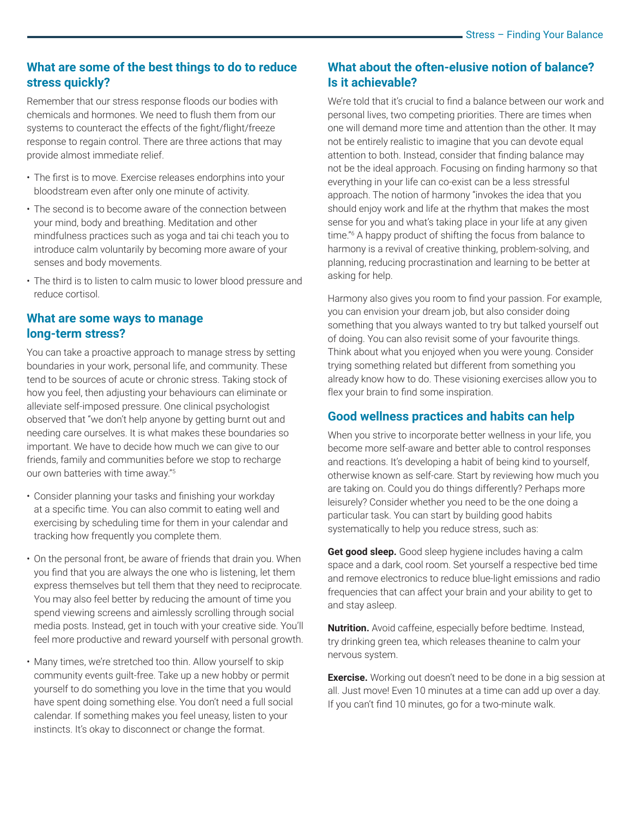# **What are some of the best things to do to reduce stress quickly?**

Remember that our stress response floods our bodies with chemicals and hormones. We need to flush them from our systems to counteract the effects of the fight/flight/freeze response to regain control. There are three actions that may provide almost immediate relief.

- The first is to move. Exercise releases endorphins into your bloodstream even after only one minute of activity.
- The second is to become aware of the connection between your mind, body and breathing. Meditation and other mindfulness practices such as yoga and tai chi teach you to introduce calm voluntarily by becoming more aware of your senses and body movements.
- The third is to listen to calm music to lower blood pressure and reduce cortisol.

# **What are some ways to manage long-term stress?**

You can take a proactive approach to manage stress by setting boundaries in your work, personal life, and community. These tend to be sources of acute or chronic stress. Taking stock of how you feel, then adjusting your behaviours can eliminate or alleviate self-imposed pressure. One clinical psychologist observed that "we don't help anyone by getting burnt out and needing care ourselves. It is what makes these boundaries so important. We have to decide how much we can give to our friends, family and communities before we stop to recharge our own batteries with time away."5

- Consider planning your tasks and finishing your workday at a specific time. You can also commit to eating well and exercising by scheduling time for them in your calendar and tracking how frequently you complete them.
- On the personal front, be aware of friends that drain you. When you find that you are always the one who is listening, let them express themselves but tell them that they need to reciprocate. You may also feel better by reducing the amount of time you spend viewing screens and aimlessly scrolling through social media posts. Instead, get in touch with your creative side. You'll feel more productive and reward yourself with personal growth.
- Many times, we're stretched too thin. Allow yourself to skip community events guilt-free. Take up a new hobby or permit yourself to do something you love in the time that you would have spent doing something else. You don't need a full social calendar. If something makes you feel uneasy, listen to your instincts. It's okay to disconnect or change the format.

# **What about the often-elusive notion of balance? Is it achievable?**

We're told that it's crucial to find a balance between our work and personal lives, two competing priorities. There are times when one will demand more time and attention than the other. It may not be entirely realistic to imagine that you can devote equal attention to both. Instead, consider that finding balance may not be the ideal approach. Focusing on finding harmony so that everything in your life can co-exist can be a less stressful approach. The notion of harmony "invokes the idea that you should enjoy work and life at the rhythm that makes the most sense for you and what's taking place in your life at any given time."6 A happy product of shifting the focus from balance to harmony is a revival of creative thinking, problem-solving, and planning, reducing procrastination and learning to be better at asking for help.

Harmony also gives you room to find your passion. For example, you can envision your dream job, but also consider doing something that you always wanted to try but talked yourself out of doing. You can also revisit some of your favourite things. Think about what you enjoyed when you were young. Consider trying something related but different from something you already know how to do. These visioning exercises allow you to flex your brain to find some inspiration.

## **Good wellness practices and habits can help**

When you strive to incorporate better wellness in your life, you become more self-aware and better able to control responses and reactions. It's developing a habit of being kind to yourself, otherwise known as self-care. Start by reviewing how much you are taking on. Could you do things differently? Perhaps more leisurely? Consider whether you need to be the one doing a particular task. You can start by building good habits systematically to help you reduce stress, such as:

**Get good sleep.** Good sleep hygiene includes having a calm space and a dark, cool room. Set yourself a respective bed time and remove electronics to reduce blue-light emissions and radio frequencies that can affect your brain and your ability to get to and stay asleep.

**Nutrition.** Avoid caffeine, especially before bedtime. Instead, try drinking green tea, which releases theanine to calm your nervous system.

**Exercise.** Working out doesn't need to be done in a big session at all. Just move! Even 10 minutes at a time can add up over a day. If you can't find 10 minutes, go for a two-minute walk.